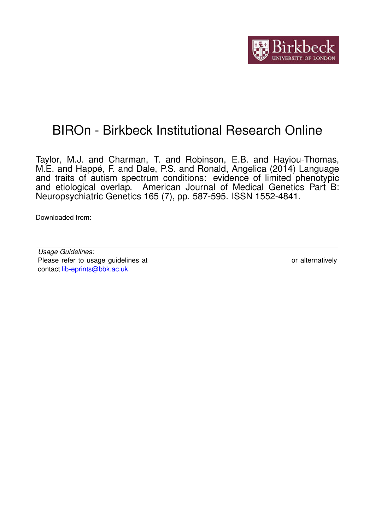

# BIROn - Birkbeck Institutional Research Online

Taylor, M.J. and Charman, T. and Robinson, E.B. and Hayiou-Thomas, M.E. and Happé, F. and Dale, P.S. and Ronald, Angelica (2014) Language and traits of autism spectrum conditions: evidence of limited phenotypic and etiological overlap. American Journal of Medical Genetics Part B: Neuropsychiatric Genetics 165 (7), pp. 587-595. ISSN 1552-4841.

Downloaded from: <https://eprints.bbk.ac.uk/id/eprint/10370/>

*Usage Guidelines:* Please refer to usage guidelines at <https://eprints.bbk.ac.uk/policies.html> or alternatively contact [lib-eprints@bbk.ac.uk.](mailto:lib-eprints@bbk.ac.uk)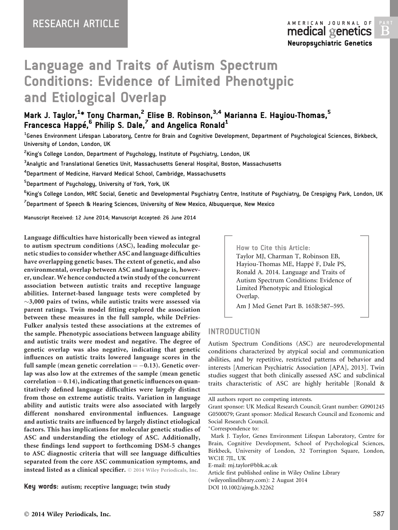# Language and Traits of Autism Spectrum Conditions: Evidence of Limited Phenotypic and Etiological Overlap

# Mark J. Taylor,<sup>1</sup>\* Tony Charman,<sup>2</sup> Elise B. Robinson,<sup>3,4</sup> Marianna E. Hayiou-Thomas,<sup>5</sup> Francesca Happé, $^6$  Philip S. Dale, $^7$  and Angelica Ronald $^1$

 $^{\rm 1}$ Genes Environment Lifespan Laboratory, Centre for Brain and Cognitive Development, Department of Psychological Sciences, Birkbeck, University of London, London, UK

 $^2$ King's College London, Department of Psychology, Institute of Psychiatry, London, UK

 $^{\rm 3}$ Analytic and Translational Genetics Unit, Massachusetts General Hospital, Boston, Massachusetts

 $^{\rm 4}$ Department of Medicine, Harvard Medical School, Cambridge, Massachusetts

<sup>5</sup>Department of Psychology, University of York, York, UK

<sup>6</sup>King's College London, MRC Social, Genetic and Developmental Psychiatry Centre, Institute of Psychiatry, De Crespigny Park, London, UK <sup>7</sup>Department of Speech & Hearing Sciences, University of New Mexico, Albuquerque, New Mexico

Manuscript Received: 12 June 2014; Manuscript Accepted: 26 June 2014

Language difficulties have historically been viewed as integral to autism spectrum conditions (ASC), leading molecular genetic studies to consider whether ASC and language difficulties have overlapping genetic bases. The extent of genetic, and also environmental, overlap between ASC and language is, however, unclear. We hence conducted a twin study of the concurrent association between autistic traits and receptive language abilities. Internet-based language tests were completed by  $\sim$ 3,000 pairs of twins, while autistic traits were assessed via parent ratings. Twin model fitting explored the association between these measures in the full sample, while DeFries-Fulker analysis tested these associations at the extremes of the sample. Phenotypic associations between language ability and autistic traits were modest and negative. The degree of genetic overlap was also negative, indicating that genetic influences on autistic traits lowered language scores in the full sample (mean genetic correlation  $= -0.13$ ). Genetic overlap was also low at the extremes of the sample (mean genetic  $correlation = 0.14$ , indicating that genetic influences on quantitatively defined language difficulties were largely distinct from those on extreme autistic traits. Variation in language ability and autistic traits were also associated with largely different nonshared environmental influences. Language and autistic traits are influenced by largely distinct etiological factors. This has implications for molecular genetic studies of ASC and understanding the etiology of ASC. Additionally, these findings lend support to forthcoming DSM-5 changes to ASC diagnostic criteria that will see language difficulties separated from the core ASC communication symptoms, and instead listed as a clinical specifier.  $© 2014$  Wiley Periodicals, Inc.

Key words: autism; receptive language; twin study



# INTRODUCTION

Autism Spectrum Conditions (ASC) are neurodevelopmental conditions characterized by atypical social and communication abilities, and by repetitive, restricted patterns of behavior and interests [American Psychiatric Association [APA], 2013]. Twin studies suggest that both clinically assessed ASC and subclinical traits characteristic of ASC are highly heritable [Ronald &

All authors report no competing interests.

Grant sponsor: UK Medical Research Council; Grant number: G0901245 G0500079; Grant sponsor: Medical Research Council and Economic and Social Research Council.

Correspondence to:

Mark J. Taylor, Genes Environment Lifespan Laboratory, Centre for Brain, Cognitive Development, School of Psychological Sciences, Birkbeck, University of London, 32 Torrington Square, London, WC1E 7JL, UK

E-mail: mj.taylor@bbk.ac.uk

Article first published online in Wiley Online Library (wileyonlinelibrary.com): 2 August 2014 DOI 10.1002/ajmg.b.32262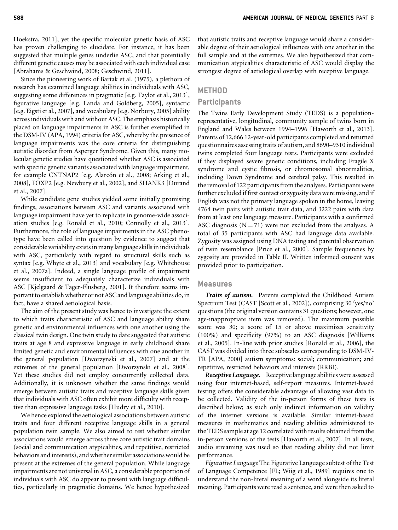Hoekstra, 2011], yet the specific molecular genetic basis of ASC has proven challenging to elucidate. For instance, it has been suggested that multiple genes underlie ASC, and that potentially different genetic causes may be associated with each individual case [Abrahams & Geschwind, 2008; Geschwind, 2011].

Since the pioneering work of Bartak et al. (1975), a plethora of research has examined language abilities in individuals with ASC, suggesting some differences in pragmatic [e.g. Taylor et al., 2013], figurative language [e.g. Landa and Goldberg, 2005], syntactic [e.g. Eigsti et al., 2007], and vocabulary [e.g. Norbury, 2005] ability across individuals with and without ASC. The emphasis historically placed on language impairments in ASC is further exemplified in the DSM-IV (APA, 1994) criteria for ASC, whereby the presence of language impairments was the core criteria for distinguishing autistic disorder from Asperger Syndrome. Given this, many molecular genetic studies have questioned whether ASC is associated with specific genetic variants associated with language impairment, for example CNTNAP2 [e.g. Alarcón et al., 2008; Arking et al., 2008], FOXP2 [e.g. Newbury et al., 2002], and SHANK3 [Durand et al., 2007].

While candidate gene studies yielded some initially promising findings, associations between ASC and variants associated with language impairment have yet to replicate in genome-wide association studies [e.g. Ronald et al., 2010; Connolly et al., 2013]. Furthermore, the role of language impairments in the ASC phenotype have been called into question by evidence to suggest that considerable variability exists in many language skills in individuals with ASC, particularly with regard to structural skills such as syntax [e.g. Whyte et al., 2013] and vocabulary [e.g. Whitehouse et al., 2007a]. Indeed, a single language profile of impairment seems insufficient to adequately characterize individuals with ASC [Kjelgaard & Tager-Flusberg, 2001]. It therefore seems important to establish whether or not ASC and language abilities do, in fact, have a shared aetiological basis.

The aim of the present study was hence to investigate the extent to which traits characteristic of ASC and language ability share genetic and environmental influences with one another using the classical twin design. One twin study to date suggested that autistic traits at age 8 and expressive language in early childhood share limited genetic and environmental influences with one another in the general population [Dworzynski et al., 2007] and at the extremes of the general population [Dworzynski et al., 2008]. Yet these studies did not employ concurrently collected data. Additionally, it is unknown whether the same findings would emerge between autistic traits and receptive language skills given that individuals with ASC often exhibit more difficulty with receptive than expressive language tasks [Hudry et al., 2010].

We hence explored the aetiological associations between autistic traits and four different receptive language skills in a general population twin sample. We also aimed to test whether similar associations would emerge across three core autistic trait domains (social and communication atypicalities, and repetitive, restricted behaviors and interests), and whether similar associations would be present at the extremes of the general population. While language impairments are not universal in ASC, a considerable proportion of individuals with ASC do appear to present with language difficulties, particularly in pragmatic domains. We hence hypothesized

that autistic traits and receptive language would share a considerable degree of their aetiological influences with one another in the full sample and at the extremes. We also hypothesized that communication atypicalities characteristic of ASC would display the strongest degree of aetiological overlap with receptive language.

#### **METHOD**

#### **Participants**

The Twins Early Development Study (TEDS) is a populationrepresentative, longitudinal, community sample of twins born in England and Wales between 1994–1996 [Haworth et al., 2013]. Parents of 12,666 12-year-old participants completed and returned questionnaires assessing traits of autism, and 8690–9310 individual twins completed four language tests. Participants were excluded if they displayed severe genetic conditions, including Fragile X syndrome and cystic fibrosis, or chromosomal abnormalities, including Down Syndrome and cerebral palsy. This resulted in the removal of 122 participants from the analyses. Participants were further excluded if first contact or zygosity data were missing, and if English was not the primary language spoken in the home, leaving 4764 twin pairs with autistic trait data, and 3222 pairs with data from at least one language measure. Participants with a confirmed ASC diagnosis  $(N = 71)$  were not excluded from the analyses. A total of 35 participants with ASC had language data available. Zygosity was assigned using DNA testing and parental observation of twin resemblance [Price et al., 2000]. Sample frequencies by zygosity are provided in Table II. Written informed consent was provided prior to participation.

#### Measures

Traits of autism. Parents completed the Childhood Autism Spectrum Test (CAST [Scott et al., 2002]), comprising 30 'yes/no' questions (the original version contains 31 questions; however, one age-inappropriate item was removed). The maximum possible score was 30; a score of 15 or above maximizes sensitivity (100%) and specificity (97%) to an ASC diagnosis [Williams et al., 2005]. In-line with prior studies [Ronald et al., 2006], the CAST was divided into three subscales corresponding to DSM-IV-TR [APA, 2000] autism symptoms: social; communication; and repetitive, restricted behaviors and interests (RRBI).

Receptive Language. Receptive language abilities were assessed using four internet-based, self-report measures. Internet-based testing offers the considerable advantage of allowing vast data to be collected. Validity of the in-person forms of these tests is described below; as such only indirect information on validity of the internet versions is available. Similar internet-based measures in mathematics and reading abilities administered to the TEDS sample at age 12 correlated with results obtained from the in-person versions of the tests [Haworth et al., 2007]. In all tests, audio streaming was used so that reading ability did not limit performance.

Figurative Language The Figurative Language subtest of the Test of Language Competence [FL; Wiig et al., 1989] requires one to understand the non-literal meaning of a word alongside its literal meaning. Participants were read a sentence, and were then asked to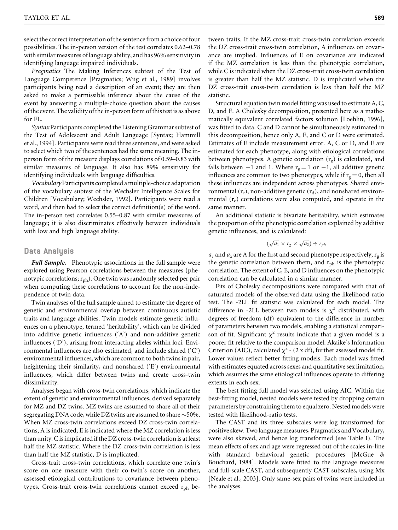select the correct interpretation of the sentence from a choice of four possibilities. The in-person version of the test correlates 0.62–0.78 with similar measures of language ability, and has 96% sensitivity in identifying language impaired individuals.

Pragmatics The Making Inferences subtest of the Test of Language Competence [Pragmatics; Wiig et al., 1989] involves participants being read a description of an event; they are then asked to make a permissible inference about the cause of the event by answering a multiple-choice question about the causes of the event. The validity of the in-person form of this test is as above for FL.

Syntax Participants completed the Listening Grammar subtest of the Test of Adolescent and Adult Language [Syntax; Hammill et al., 1994]. Participants were read three sentences, and were asked to select which two of the sentences had the same meaning. The inperson form of the measure displays correlations of 0.59–0.83 with similar measures of language. It also has 89% sensitivity for identifying individuals with language difficulties.

VocabularyParticipants completed amultiple-choice adaptation of the vocabulary subtest of the Wechsler Intelligence Scales for Children [Vocabulary; Wechsler, 1992]. Participants were read a word, and then had to select the correct definition(s) of the word. The in-person test correlates 0.55–0.87 with similar measures of language; it is also discriminates effectively between individuals with low and high language ability.

#### Data Analysis

Full Sample. Phenotypic associations in the full sample were explored using Pearson correlations between the measures (phenotypic correlations;  $r_{ph}$ ). One twin was randomly selected per pair when computing these correlations to account for the non-independence of twin data.

Twin analyses of the full sample aimed to estimate the degree of genetic and environmental overlap between continuous autistic traits and language abilities. Twin models estimate genetic influences on a phenotype, termed 'heritability', which can be divided into additive genetic influences ('A') and non-additive genetic influences ('D'), arising from interacting alleles within loci. Environmental influences are also estimated, and include shared ('C') environmental influences, which are common to both twins in pair, heightening their similarity, and nonshared ('E') environmental influences, which differ between twins and create cross-twin dissimilarity.

Analyses began with cross-twin correlations, which indicate the extent of genetic and environmental influences, derived separately for MZ and DZ twins. MZ twins are assumed to share all of their segregating DNA code, while DZ twins are assumed to share  $\sim$  50%. When MZ cross-twin correlations exceed DZ cross-twin correlations, A is indicated; E is indicated where the MZ correlation is less than unity. C is implicated if the DZ cross-twin correlation is at least half the MZ statistic. Where the DZ cross-twin correlation is less than half the MZ statistic, D is implicated.

Cross-trait cross-twin correlations, which correlate one twin's score on one measure with their co-twin's score on another, assessed etiological contributions to covariance between phenotypes. Cross-trait cross-twin correlations cannot exceed  $r_{\rm ph}$  between traits. If the MZ cross-trait cross-twin correlation exceeds the DZ cross-trait cross-twin correlation, A influences on covariance are implied. Influences of E on covariance are indicated if the MZ correlation is less than the phenotypic correlation, while C is indicated when the DZ cross-trait cross-twin correlation is greater than half the MZ statistic. D is implicated when the DZ cross-trait cross-twin correlation is less than half the MZ statistic.

Structural equation twin model fitting was used to estimate A, C, D, and E. A Cholesky decomposition, presented here as a mathematically equivalent correlated factors solution [Loehlin, 1996], was fitted to data. C and D cannot be simultaneously estimated in this decomposition, hence only A, E, and C or D were estimated. Estimates of E include measurement error. A, C or D, and E are estimated for each phenotype, along with etiological correlations between phenotypes. A genetic correlation  $(r_g)$  is calculated, and falls between  $-1$  and 1. Where  $r_g = 1$  or  $-1$ , all additive genetic influences are common to two phenotypes, while if  $r_g = 0$ , then all these influences are independent across phenotypes. Shared environmental  $(r_c)$ , non-additive genetic  $(r_d)$ , and nonshared environmental  $(r_e)$  correlations were also computed, and operate in the same manner.

An additional statistic is bivariate heritability, which estimates the proportion of the phenotypic correlation explained by additive genetic influences, and is calculated:

$$
(\sqrt{a_1} \times r_g \times \sqrt{a_2}) \div r_{ph}
$$

 $a_1$  and  $a_2$  are A for the first and second phenotype respectively,  $r_g$  is the genetic correlation between them, and  $r_{\rm ph}$  is the phenotypic correlation. The extent of C, E, and D influences on the phenotypic correlation can be calculated in a similar manner.

Fits of Cholesky decompositions were compared with that of saturated models of the observed data using the likelihood-ratio test. The -2LL fit statistic was calculated for each model. The difference in -2LL between two models is  $\chi^2$  distributed, with degrees of freedom (df) equivalent to the difference in number of parameters between two models, enabling a statistical comparison of fit. Significant  $\chi^2$  results indicate that a given model is a poorer fit relative to the comparison model. Akaike's Information Criterion (AIC), calculated  $\chi^2$  - (2 x df), further assessed model fit. Lower values reflect better fitting models. Each model was fitted with estimates equated across sexes and quantitative sex limitation, which assumes the same etiological influences operate to differing extents in each sex.

The best fitting full model was selected using AIC. Within the best-fitting model, nested models were tested by dropping certain parameters by constraining them to equal zero. Nested models were tested with likelihood-ratio tests.

The CAST and its three subscales were log transformed for positive skew. Two language measures, Pragmatics and Vocabulary, were also skewed, and hence log transformed (see Table I). The mean effects of sex and age were regressed out of the scales in-line with standard behavioral genetic procedures [McGue & Bouchard, 1984]. Models were fitted to the language measures and full-scale CAST, and subsequently CAST subscales, using Mx [Neale et al., 2003]. Only same-sex pairs of twins were included in the analyses.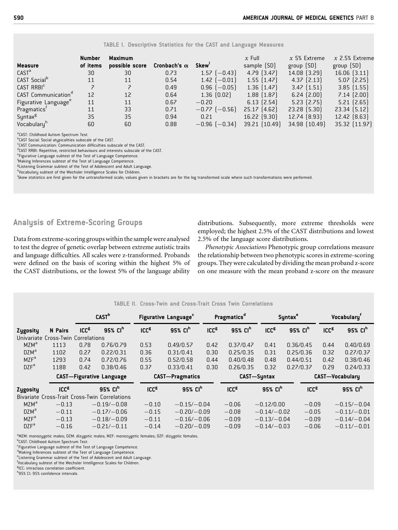| <b>Measure</b>                   | <b>Number</b><br>of items | <b>Maximum</b><br>possible score | Cronbach's $\alpha$ | Skew'             | $x$ Full<br>sample (SD) | $x$ 5% Extreme<br>group (SD) | $x$ 2.5% Extreme<br>group (SD) |
|----------------------------------|---------------------------|----------------------------------|---------------------|-------------------|-------------------------|------------------------------|--------------------------------|
| CAST <sup>a</sup>                | 30                        | 30                               | 0.73                | $1.57$ $[-0.43]$  | $4.79$ $(3.47)$         | 14.08 [3.29]                 | $16.06$ $(3.11)$               |
| CAST Social <sup>b</sup>         | 11                        | 11                               | 0.54                | $1.42$ $[-0.01]$  | $1.55$ $(1.47)$         | $4.37$ $(2.13)$              | $5.07$ $(2.25)$                |
| CAST RRBI <sup>c</sup>           |                           |                                  | 0.49                | $0.96$ $(-0.05)$  | $1.36$ $(1.47)$         | $3.47$ $(1.51)$              | $3.85$ $(1.55)$                |
| CAST Communication <sup>a</sup>  | 12                        | 12                               | 0.64                | $1.36$ $(0.02)$   | $1.88$ $(1.87)$         | $6.24$ $(2.00)$              | $7.14$ $(2.00)$                |
| Figurative Language <sup>e</sup> | 11                        | 11                               | 0.67                | $-0.20$           | $6.13$ $(2.54)$         | $5.23$ $(2.75)$              | $5.21$ $(2.65)$                |
| Pragmatics <sup>†</sup>          | 11                        | 33                               | 0.71                | $-0.77$ $(-0.56)$ | $25.17$ $(4.62)$        | $23.28$ $(5.30)$             | $23.34$ $(5.12)$               |
| Syntax <sup>g</sup>              | 35                        | 35                               | 0.94                | 0.21              | $16.22$ $(9.30)$        | 12.74 [8.93]                 | 12.42 [8.63]                   |
| Vocabulary <sup>n</sup>          | 60                        | 60                               | 0.88                | $-0.96$ $(-0.34)$ | 39.21 [10.49]           | 34.98 [10.49]                | 35.32 [11.97]                  |
|                                  |                           |                                  |                     |                   |                         |                              |                                |

TABLE I. Descriptive Statistics for the CAST and Language Measures

<sup>a</sup>CAST: Childhood Autism Spectrum Test.

<sup>b</sup>CAST Social: Social atypicalities subscale of the CAST.

c CAST Communication: Communication difficulties subscale of the CAST.

<sup>d</sup>CAST RRBI: Repetitive, restricted behaviours and interests subscale of the CAST.

e Figurative Language subtest of the Test of Language Competence.

Making Inferences subtest of the Test of Language Competence.

g Listening Grammar subtest of the Test of Adolescent and Adult Language.

h<br>Vocabulary subtest of the Wechsler Intelligence Scales for Children.

i Skew statistics are first given for the untransformed scale; values given in brackets are for the log transformed scale where such transformations were performed.

# Analysis of Extreme-Scoring Groups

Data from extreme-scoring groups within the sample were analysed to test the degree of genetic overlap between extreme autistic traits and language difficulties. All scales were z-transformed. Probands were defined on the basis of scoring within the highest 5% of the CAST distributions, or the lowest 5% of the language ability

distributions. Subsequently, more extreme thresholds were employed; the highest 2.5% of the CAST distributions and lowest 2.5% of the language score distributions.

Phenotypic Associations Phenotypic group correlations measure the relationship between two phenotypic scores in extreme-scoring groups. They were calculated by dividing the mean proband z-score on one measure with the mean proband z-score on the measure

| <b>TABLE II. Cross-Twin and Cross-Trait Cross Twin Correlations</b> |                  |                        |                        |                                  |                     |                         |                     |                        |                        |                        |                         |                     |
|---------------------------------------------------------------------|------------------|------------------------|------------------------|----------------------------------|---------------------|-------------------------|---------------------|------------------------|------------------------|------------------------|-------------------------|---------------------|
|                                                                     |                  |                        | CAST <sup>b</sup>      | Figurative Language <sup>c</sup> |                     | Pragmatics <sup>d</sup> |                     |                        | Syntax <sup>e</sup>    |                        | Vocabulary <sup>t</sup> |                     |
| <b>Zygosity</b>                                                     | <b>N</b> Pairs   | <b>ICC<sub>8</sub></b> | 95% CI <sup>h</sup>    | <b>ICC<sup>8</sup></b>           | 95% CI <sup>h</sup> | ICC <sup>g</sup>        | 95% CI <sup>h</sup> | <b>ICC<sup>8</sup></b> | 95% CI <sup>h</sup>    |                        | <b>ICC<sup>8</sup></b>  | 95% CI <sup>h</sup> |
| Univariate Cross-Twin Correlations                                  |                  |                        |                        |                                  |                     |                         |                     |                        |                        |                        |                         |                     |
| <b>MZM</b> <sup>a</sup>                                             | 1113             | 0.78                   | 0.76/0.79              | 0.53                             | 0.49/0.57           | 0.42                    | 0.37/0.47           | 0.41                   | 0.36/0.45              |                        | 0.44                    | 0.40/0.69           |
| $DZM^a$                                                             | 1102             | 0.27                   | 0.22/0.31              | 0.36                             | 0.31/0.41           | 0.30                    | 0.25/0.35           | 0.31                   | 0.25/0.36              |                        | 0.32                    | 0.27/0.37           |
| <b>MZF</b> <sup>a</sup>                                             | 1293             | 0.74                   | 0.72/0.76              | 0.55                             | 0.52/0.58           | 0.44                    | 0.40/0.48           | 0.48                   | 0.44/0.51              |                        | 0.42                    | 0.38/0.46           |
| $DZF^a$                                                             | 1188             | 0.42                   | 0.38/0.46              | 0.37                             | 0.33/0.41           | 0.30                    | 0.26/0.35           | 0.32                   | 0.27/0.37              |                        | 0.29                    | 0.24/0.33           |
| <b>CAST-Figurative Language</b>                                     |                  |                        | <b>CAST-Pragmatics</b> |                                  |                     | CAST-Syntax             |                     |                        | <b>CAST-Vocabulary</b> |                        |                         |                     |
| <b>Zygosity</b>                                                     | ICC <sup>g</sup> |                        | 95% $Clh$              | ICC <sup>g</sup>                 | 95% CI <sup>h</sup> |                         | ICC <sup>g</sup>    | 95% CI <sup>h</sup>    |                        | <b>ICC<sup>8</sup></b> |                         | 95% CI <sup>h</sup> |
| Bivariate Cross-Trait Cross-Twin Correlations                       |                  |                        |                        |                                  |                     |                         |                     |                        |                        |                        |                         |                     |
| MZM <sup>a</sup>                                                    | $-0.13$          |                        | $-0.19/-0.08$          | $-0.10$                          | $-0.15/-0.04$       |                         | $-0.06$             | $-0.12/0.00$           |                        | $-0.09$                |                         | $-0.15/-0.04$       |
| $DZM^a$                                                             | $-0.11$          |                        | $-0.17/-0.06$          | $-0.15$                          | $-0.20/-0.09$       |                         | $-0.08$             | $-0.14/-0.02$          |                        | $-0.05$                |                         | $-0.11/-0.01$       |
| $MZF^a$                                                             | $-0.13$          |                        | $-0.18/-0.09$          | $-0.11$                          | $-0.16/-0.06$       |                         | $-0.09$             | $-0.13/-0.04$          |                        | $-0.09$                |                         | $-0.14/-0.04$       |
| $DZF^a$                                                             | $-0.16$          |                        | $-0.21/-0.11$          | $-0.14$                          | $-0.20/-0.09$       |                         | $-0.09$             | $-0.14/-0.03$          |                        | $-0.06$                |                         | $-0.11/-0.01$       |

<sup>a</sup>MZM: monozygotic males; DZM: dizygotic males; MZF: monozygotic females; DZF: dizygotic females.

b CAST: Childhood Autism Spectrum Test.

<sup>c</sup>Figurative Language subtest of the Test of Language Competence.

Making Inferences subtest of the Test of Language Competence.

e Listening Grammar subtest of the Test of Adolescent and Adult Language.

f Vocabulary subtest of the Wechsler Intelligence Scales for Children.

<sup>g</sup>ICC: intraclass correlation coefficient. h 95% CI: 95% confidence intervals.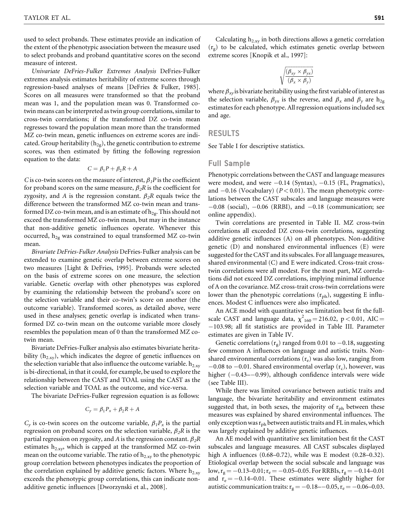used to select probands. These estimates provide an indication of the extent of the phenotypic association between the measure used to select probands and proband quantitative scores on the second measure of interest.

Univariate DeFries-Fulker Extremes Analysis DeFries-Fulker extremes analysis estimates heritability of extreme scores through regression-based analyses of means [DeFries & Fulker, 1985]. Scores on all measures were transformed so that the proband mean was 1, and the population mean was 0. Transformed cotwin means can be interpreted as twin group correlations, similar to cross-twin correlations; if the transformed DZ co-twin mean regresses toward the population mean more than the transformed MZ co-twin mean, genetic influences on extreme scores are indicated. Group heritability ( $h_{2g}$ ), the genetic contribution to extreme scores, was then estimated by fitting the following regression equation to the data:

$$
C = \beta_1 P + \beta_2 R + A
$$

C is co-twin scores on the measure of interest,  $\beta_1P$  is the coefficient for proband scores on the same measure,  $\beta_2R$  is the coefficient for zygosity, and A is the regression constant.  $\beta_2R$  equals twice the difference between the transformed MZ co-twin mean and transformed DZ co-twin mean, and is an estimate of  $h_{2g}$ . This should not exceed the transformed MZ co-twin mean, but may in the instance that non-additive genetic influences operate. Whenever this occurred,  $h_{2g}$  was constrained to equal transformed MZ co-twin mean.

Bivariate DeFries-Fulker Analysis DeFries-Fulker analysis can be extended to examine genetic overlap between extreme scores on two measures [Light & DeFries, 1995]. Probands were selected on the basis of extreme scores on one measure, the selection variable. Genetic overlap with other phenotypes was explored by examining the relationship between the proband's score on the selection variable and their co-twin's score on another (the outcome variable). Transformed scores, as detailed above, were used in these analyses; genetic overlap is indicated when transformed DZ co-twin mean on the outcome variable more closely resembles the population mean of 0 than the transformed MZ cotwin mean.

Bivariate DeFries-Fulker analysis also estimates bivariate heritability  $(h_{2,xy})$ , which indicates the degree of genetic influences on the selection variable that also influence the outcome variable.  $h_{2,xy}$ is bi-directional, in that it could, for example, be used to explore the relationship between the CAST and TOAL using the CAST as the selection variable and TOAL as the outcome, and vice-versa.

The bivariate DeFries-Fulker regression equation is as follows:

$$
C_y = \beta_1 P_x + \beta_2 R + A
$$

 $C_y$  is co-twin scores on the outcome variable,  $\beta_1P_x$  is the partial regression on proband scores on the selection variable,  $\beta_2R$  is the partial regression on zygosity, and A is the regression constant.  $\beta_2R$ estimates  $h_{2,xy}$ , which is capped at the transformed MZ co-twin mean on the outcome variable. The ratio of  $h_{2,xy}$  to the phenotypic group correlation between phenotypes indicates the proportion of the correlation explained by additive genetic factors. Where  $h_{2,xy}$ exceeds the phenotypic group correlations, this can indicate nonadditive genetic influences [Dworzynski et al., 2008].

Calculating  $h_{2,xy}$  in both directions allows a genetic correlation  $(r<sub>g</sub>)$  to be calculated, which estimates genetic overlap between extreme scores [Knopik et al., 1997]:

$$
\sqrt{\frac{(\beta_{xy} \times \beta_{yx})}{(\beta_x \times \beta_y)}}
$$

where  $\beta_{xy}$  is bivariate heritability using the first variable of interest as the selection variable,  $\beta_{yx}$  is the reverse, and  $\beta_x$  and  $\beta_y$  are  $h_{2g}$ estimates for each phenotype. All regression equations included sex and age.

#### RESULTS

See Table I for descriptive statistics.

#### Full Sample

Phenotypic correlations between the CAST and language measures were modest, and were  $-0.14$  (Syntax),  $-0.15$  (FL, Pragmatics), and  $-0.16$  (Vocabulary) ( $P < 0.01$ ). The mean phenotypic correlations between the CAST subscales and language measures were  $-0.08$  (social),  $-0.06$  (RRBI), and  $-0.18$  (communication; see online appendix).

Twin correlations are presented in Table II. MZ cross-twin correlations all exceeded DZ cross-twin correlations, suggesting additive genetic influences (A) on all phenotypes. Non-additive genetic (D) and nonshared environmental influences (E) were suggested for the CAST and its subscales. For all language measures, shared environmental (C) and E were indicated. Cross-trait crosstwin correlations were all modest. For the most part, MZ correlations did not exceed DZ correlations, implying minimal influence of A on the covariance. MZ cross-trait cross-twin correlations were lower than the phenotypic correlations  $(r_{ph})$ , suggesting E influences. Modest C influences were also implicated.

An ACE model with quantitative sex limitation best fit the fullscale CAST and language data,  $\chi^2_{160} = 216.02$ , p < 0.01, AIC = 103.98; all fit statistics are provided in Table III. Parameter estimates are given in Table IV.

Genetic correlations ( $r_g$ ) ranged from 0.01 to -0.18, suggesting few common A influences on language and autistic traits. Nonshared environmental correlations  $(r_e)$  was also low, ranging from  $-0.08$  to  $-0.01$ . Shared environmental overlap ( $r_c$ ), however, was higher  $(-0.43-0.99)$ , although confidence intervals were wide (see Table III).

While there was limited covariance between autistic traits and language, the bivariate heritability and environment estimates suggested that, in both sexes, the majority of  $r_{\rm ph}$  between these measures was explained by shared environmental influences. The only exception was  $r_{ph}$  between autistic traits and FL in males, which was largely explained by additive genetic influences.

An AE model with quantitative sex limitation best fit the CAST subscales and language measures. All CAST subscales displayed high A influences (0.68–0.72), while was E modest (0.28–0.32). Etiological overlap between the social subscale and language was low,  $r_g = -0.13-0.01$ ;  $r_e = -0.05-0.05$ . For RRBIs,  $r_g = -0.14-0.01$ and  $r_e = -0.14-0.01$ . These estimates were slightly higher for autistic communication traits:  $r_g = -0.18 - 0.05$ ,  $r_e = -0.06 - 0.03$ .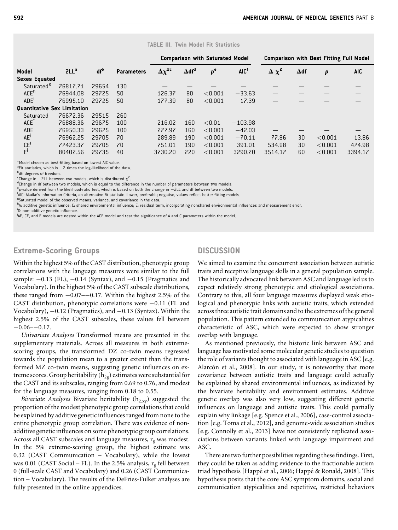|                        |                                    |                 |                   | <b>Comparison with Saturated Model</b> |                          |                | <b>Comparison with Best Fitting Full Model</b> |                 |             |         |            |
|------------------------|------------------------------------|-----------------|-------------------|----------------------------------------|--------------------------|----------------|------------------------------------------------|-----------------|-------------|---------|------------|
| Model                  | 2LL <sup>a</sup>                   | df <sup>b</sup> | <b>Parameters</b> | $\Delta \chi^{2c}$                     | $\Delta$ df <sup>d</sup> | p <sup>e</sup> | AIC <sup>f</sup>                               | $\Delta \chi^2$ | $\Delta$ df | p       | <b>AIC</b> |
| <b>Sexes Equated</b>   |                                    |                 |                   |                                        |                          |                |                                                |                 |             |         |            |
| Saturated <sup>g</sup> | 76817.71                           | 29654           | 130               |                                        |                          |                |                                                |                 |             |         |            |
| ACE <sup>h</sup>       | 76944.08                           | 29725           | 50                | 126.37                                 | 80                       | < 0.001        | $-33.63$                                       | —               |             |         |            |
| ADE <sup>T</sup>       | 76995.10                           | 29725           | 50                | 177.39                                 | 80                       | < 0.001        | 17.39                                          |                 |             |         |            |
|                        | <b>Quantitative Sex Limitation</b> |                 |                   |                                        |                          |                |                                                |                 |             |         |            |
| Saturated              | 76672.36                           | 29515           | 260               |                                        |                          |                |                                                |                 |             |         |            |
| <b>ACE</b>             | 76888.36                           | 29675           | 100               | 216.02                                 | 160                      | < 0.01         | $-103.98$                                      |                 |             |         |            |
| <b>ADE</b>             | 76950.33                           | 29675           | 100               | 277.97                                 | 160                      | < 0.001        | $-42.03$                                       |                 |             |         |            |
| AE <sup>J</sup>        | 76962.25                           | 29705           | 70                | 289.89                                 | 190                      | < 0.001        | $-70.11$                                       | 77.86           | 30          | < 0.001 | 13.86      |
| $E^{j}$                | 77423.37                           | 29705           | 70                | 751.01                                 | 190                      | < 0.001        | 391.01                                         | 534.98          | 30          | < 0.001 | 474.98     |
|                        | 80402.56                           | 29735           | 40                | 3730.20                                | 220                      | < 0.001        | 3290.20                                        | 3514.17         | 60          | < 0.001 | 3394.17    |

#### TABLE III. Twin Model Fit Statistics

Model chosen as best-fitting based on lowest AIC value.

<sup>a</sup> Fit statistics, which is  $-2$  times the log-likelihood of the data.

<sup>b</sup>df: degrees of freedom.

<sup>c</sup>Change in  $-2$ LL between two models, which is distributed  $\chi^2$ .

 $^{\text{d}}$ Change in df between two models, which is equal to the difference in the number of parameters between two models.

 $^{\rm e}$ p-value derived from the likelihood-ratio test, which is based on both the change in  $-$ 2LL and df between two models. ° $\rho$ value derived from the likelihood-ratio test, which is based on both the change in —2LL and df between two models.<br><sup>f</sup>AlC: Akaike's Information Criteria, an alternative fit statistic. Lower, preferably negative, valu

<sup>g</sup>Saturated model of the observed means, variance, and covariance in the data.

<sup>h</sup>A: additive genetic influence; C: shared environmental influence; E: residual term, incorporating nonshared environmental influences and measurement error.<br><sup>i</sup>D: non additive genetic influence

D: non-additive genetic influence.

j AE, CE, and E models are nested within the ACE model and test the significance of A and C parameters within the model.

# Extreme-Scoring Groups

Within the highest 5% of the CAST distribution, phenotypic group correlations with the language measures were similar to the full sample:  $-0.13$  (FL),  $-0.14$  (Syntax), and  $-0.15$  (Pragmatics and Vocabulary). In the highest 5% of the CAST subscale distributions, these ranged from  $-0.07-0.17$ . Within the highest 2.5% of the CAST distribution, phenotypic correlations were  $-0.11$  (FL and Vocabulary),  $-0.12$  (Pragmatics), and  $-0.13$  (Syntax). Within the highest 2.5% of the CAST subscales, these values fell between  $-0.06 - 0.17$ .

Univariate Analyses Transformed means are presented in the supplementary materials. Across all measures in both extremescoring groups, the transformed DZ co-twin means regressed towards the population mean to a greater extent than the transformed MZ co-twin means, suggesting genetic influences on extreme scores. Group heritability  $(h_{2g})$  estimates were substantial for the CAST and its subscales, ranging from 0.69 to 0.76, and modest for the language measures, ranging from 0.18 to 0.55.

*Bivariate Analyses* Bivariate heritability  $(h_{2,xy})$  suggested the proportion of the modest phenotypic group correlations that could be explained by additive genetic influences ranged from none to the entire phenotypic group correlation. There was evidence of nonadditive genetic influences on some phenotypic group correlations. Across all CAST subscales and language measures,  $r_g$  was modest. In the 5% extreme-scoring group, the highest estimate was 0.32 (CAST Communication – Vocabulary), while the lowest was 0.01 (CAST Social – FL). In the 2.5% analysis,  $r_g$  fell between 0 (full-scale CAST and Vocabulary) and 0.26 (CAST Communication – Vocabulary). The results of the DeFries-Fulker analyses are fully presented in the online appendices.

## **DISCUSSION**

We aimed to examine the concurrent association between autistic traits and receptive language skills in a general population sample. The historically advocated link between ASC and language led us to expect relatively strong phenotypic and etiological associations. Contrary to this, all four language measures displayed weak etiological and phenotypic links with autistic traits, which extended across three autistic trait domains and to the extremes of the general population. This pattern extended to communication atypicalities characteristic of ASC, which were expected to show stronger overlap with language.

As mentioned previously, the historic link between ASC and language has motivated some molecular genetic studies to question the role of variants thought to associated with language in ASC [e.g. Alarcón et al., 2008]. In our study, it is noteworthy that more covariance between autistic traits and language could actually be explained by shared environmental influences, as indicated by the bivariate heritability and environment estimates. Additive genetic overlap was also very low, suggesting different genetic influences on language and autistic traits. This could partially explain why linkage [e.g. Spence et al., 2006], case-control association [e.g. Toma et al., 2012], and genome-wide association studies [e.g. Connolly et al., 2013] have not consistently replicated associations between variants linked with language impairment and ASC.

There are two further possibilities regarding these findings. First, they could be taken as adding evidence to the fractionable autism triad hypothesis [Happé et al., 2006; Happé & Ronald, 2008]. This hypothesis posits that the core ASC symptom domains, social and communication atypicalities and repetitive, restricted behaviors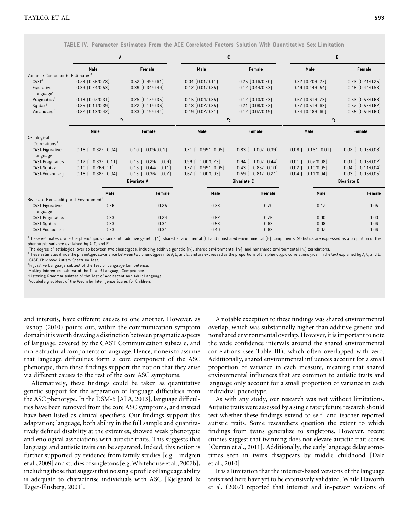TABLE IV. Parameter Estimates From the ACE Correlated Factors Solution With Quantitative Sex Limitation

|                                                     | A                                            |                         |                         | C                       | E                       |                        |  |
|-----------------------------------------------------|----------------------------------------------|-------------------------|-------------------------|-------------------------|-------------------------|------------------------|--|
|                                                     | Male                                         | Female                  | Male                    | Female                  | Male                    | Female                 |  |
| Variance Components Estimates <sup>a</sup>          |                                              |                         |                         |                         |                         |                        |  |
| CAST <sup>d</sup>                                   | $0.73$ $[0.66/0.78]$                         | $0.52$ $(0.49/0.61)$    | $0.04$ $(0.01/0.11)$    | $0.25$ $[0.16/0.30]$    | $0.22$ $[0.20/0.25]$    | $0.23$ $[0.21/0.25]$   |  |
| Figurative<br>Language <sup>e</sup>                 | $0.39$ $(0.24/0.53)$<br>$0.39$ $(0.34/0.49)$ |                         | $0.12$ $[0.01/0.25]$    | $0.12$ $[0.44/0.53]$    | $0.49$ $[0.44/0.54]$    | $0.48$ $[0.44/0.53]$   |  |
| Pragmatics                                          | $0.18$ $[0.07/0.31]$                         | $0.25$ $[0.15/0.35]$    | $0.15$ $[0.04/0.25]$    | $0.12$ $[0.10/0.23]$    | $0.67$ $(0.61/0.73)$    | $0.63$ $(0.58/0.68)$   |  |
| Syntax <sup>g</sup>                                 | $0.25$ $[0.11/0.39]$                         | $0.22$ $[0.11/0.36]$    | $0.18$ $[0.07/0.25]$    | $0.21$ $[0.08/0.32]$    | $0.57$ $(0.51/0.63)$    | $0.57$ $(0.53/0.62)$   |  |
| Vocabulary <sup>h</sup>                             | $0.27$ $[0.13/0.42]$                         | $0.33$ $[0.19/0.44]$    | $0.19$ $[0.07/0.31]$    | $0.12$ $[0.07/0.19]$    | $0.54$ $[0.48/0.60]$    | $0.55$ $[0.50/0.60]$   |  |
|                                                     |                                              | $r_A$                   |                         | $r_c$                   | $r_E$                   |                        |  |
|                                                     | Male                                         | Female                  |                         | Female                  | Male                    | Female                 |  |
| Aetiological<br>Correlations <sup>b</sup>           |                                              |                         |                         |                         |                         |                        |  |
| <b>CAST-Figurative</b>                              | $-0.18$ $[-0.32/-0.04]$                      | $-0.10$ $[-0.09/0.01]$  | $-0.71$ $[-0.99/-0.05]$ | $-0.83$ $[-1.00/-0.39]$ | $-0.08$ $[-0.16/-0.01]$ | $-0.02$ $[-0.03/0.08]$ |  |
| Language                                            |                                              |                         |                         |                         |                         |                        |  |
| <b>CAST-Pragmatics</b>                              | $-0.12$ $[-0.33/-0.11]$                      | $-0.15$ $[-0.29/-0.09]$ | $-0.99$ $[-1.00/0.73]$  | $-0.94$ $[-1.00/-0.44]$ | $0.01$ $[-0.07/0.08]$   | $-0.01$ $[-0.05/0.02]$ |  |
| CAST-Syntax                                         | $-0.10$ $[-0.26/0.11]$                       | $-0.16$ $[-0.44/-0.11]$ | $-0.77$ $[-0.99/-0.05]$ | $-0.43$ $[-0.86/-0.10]$ | $-0.02$ $[-0.10/0.05]$  | $-0.04$ $[-0.11/0.04]$ |  |
| CAST-Vocabulary                                     | $-0.18$ $[-0.38/-0.04]$                      | $-0.13$ $[-0.36/-0.07]$ | $-0.67$ $[-1.00/0.03]$  | $-0.59$ $[-0.81/-0.21]$ | $-0.04$ $[-0.11/0.04]$  | $-0.03$ $[-0.06/0.05]$ |  |
|                                                     | <b>Bivariate A</b>                           |                         |                         | <b>Bivariate C</b>      | <b>Bivariate E</b>      |                        |  |
|                                                     | Male                                         | Female                  | Male                    | Female                  | Male                    | Female                 |  |
| Bivariate Heritability and Environment <sup>c</sup> |                                              |                         |                         |                         |                         |                        |  |
| <b>CAST-Figurative</b><br>Language                  | 0.56                                         | 0.25                    | 0.28                    | 0.70                    | 0.17                    | 0.05                   |  |
| <b>CAST-Pragmatics</b>                              | 0.33                                         | 0.24                    | 0.67                    | 0.76                    | 0.00                    | 0.00                   |  |
| CAST-Syntax                                         | 0.33                                         | 0.31                    | 0.58                    | 0.63                    | 0.08                    | 0.06                   |  |
| CAST-Vocabulary                                     | 0.31<br>0.53                                 |                         | 0.40                    | 0.63                    | 0.07                    | 0.06                   |  |

<sub>a</sub><br>Alese estimates divide the phenotypic variance into additive genetic (A), shared environmental (C) and nonshared environmental (E) components. Statistics are expressed as a proportion of the phenotypic variance explained by A, C, and E.

 $\rm ^b$ The degree of aetiological overlap between two phenotypes, including additive genetic (r<sub>A</sub>), shared environmental (r<sub>C</sub>), and nonshared environmental (r<sub>E</sub>) correlations.<br><sup>C</sup>hoce estimates divide the phenotypie cov

<sup>c</sup>These estimates divide the phenotypic covariance between two phenotypes into A, C, and E, and are expressed as the proportions of the phenotypic correlations given in the text explained by A, C, and E. CAST: Childhood Autism Spectrum Test.

e Figurative Language subtest of the Test of Language Competence.

f Making Inferences subtest of the Test of Language Competence.

<sup>g</sup> Listening Grammar subtest of the Test of Adolescent and Adult Language.

h<br>Vocabulary subtest of the Wechsler Intelligence Scales for Children.

and interests, have different causes to one another. However, as Bishop (2010) points out, within the communication symptom domain it is worth drawing a distinction between pragmatic aspects of language, covered by the CAST Communication subscale, and more structural components of language. Hence, if one is to assume that language difficulties form a core component of the ASC phenotype, then these findings support the notion that they arise via different causes to the rest of the core ASC symptoms.

Alternatively, these findings could be taken as quantitative genetic support for the separation of language difficulties from the ASC phenotype. In the DSM-5 [APA, 2013], language difficulties have been removed from the core ASC symptoms, and instead have been listed as clinical specifiers. Our findings support this adaptation; language, both ability in the full sample and quantitatively defined disability at the extremes, showed weak phenotypic and etiological associations with autistic traits. This suggests that language and autistic traits can be separated. Indeed, this notion is further supported by evidence from family studies [e.g. Lindgren et al., 2009] and studies of singletons [e.g.Whitehouse et al., 2007b], including those that suggest that no single profile of language ability is adequate to characterise individuals with ASC [Kjelgaard & Tager-Flusberg, 2001].

A notable exception to these findings was shared environmental overlap, which was substantially higher than additive genetic and nonshared environmental overlap. However, it is important to note the wide confidence intervals around the shared environmental correlations (see Table III), which often overlapped with zero. Additionally, shared environmental influences account for a small proportion of variance in each measure, meaning that shared environmental influences that are common to autistic traits and language only account for a small proportion of variance in each individual phenotype.

As with any study, our research was not without limitations. Autistic traits were assessed by a single rater; future research should test whether these findings extend to self- and teacher-reported autistic traits. Some researchers question the extent to which findings from twins generalize to singletons. However, recent studies suggest that twinning does not elevate autistic trait scores [Curran et al., 2011]. Additionally, the early language delay sometimes seen in twins disappears by middle childhood [Dale et al., 2010].

It is a limitation that the internet-based versions of the language tests used here have yet to be extensively validated. While Haworth et al. (2007) reported that internet and in-person versions of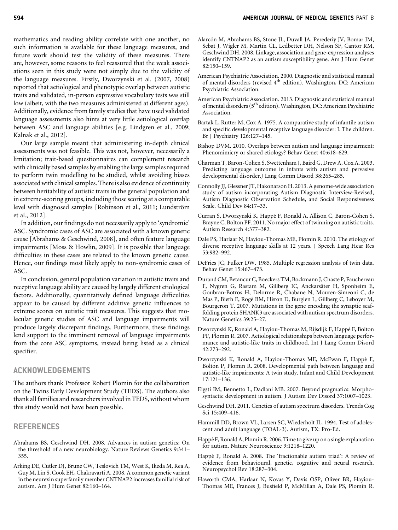mathematics and reading ability correlate with one another, no such information is available for these language measures, and future work should test the validity of these measures. There are, however, some reasons to feel reassured that the weak associations seen in this study were not simply due to the validity of the language measures. Firstly, Dworzynski et al. (2007, 2008) reported that aetiological and phenotypic overlap between autistic traits and validated, in-person expressive vocabulary tests was still low (albeit, with the two measures administered at different ages). Additionally, evidence from family studies that have used validated language assessments also hints at very little aetiological overlap between ASC and language abilities [e.g. Lindgren et al., 2009; Kalnak et al., 2012].

Our large sample meant that administering in-depth clinical assessments was not feasible. This was not, however, necessarily a limitation; trait-based questionnaires can complement research with clinically based samples by enabling the large samples required to perform twin modelling to be studied, whilst avoiding biases associated with clinical samples. There is also evidence of continuity between heritability of autistic traits in the general population and in extreme-scoring groups, including those scoring at a comparable level with diagnosed samples [Robinson et al., 2011; Lundström et al., 2012].

In addition, our findings do not necessarily apply to 'syndromic' ASC. Syndromic cases of ASC are associated with a known genetic cause [Abrahams & Geschwind, 2008], and often feature language impairments [Moss & Howlin, 2009]. It is possible that language difficulties in these cases are related to the known genetic cause. Hence, our findings most likely apply to non-syndromic cases of ASC.

In conclusion, general population variation in autistic traits and receptive language ability are caused by largely different etiological factors. Additionally, quantitatively defined language difficulties appear to be caused by different additive genetic influences to extreme scores on autistic trait measures. This suggests that molecular genetic studies of ASC and language impairments will produce largely discrepant findings. Furthermore, these findings lend support to the imminent removal of language impairments from the core ASC symptoms, instead being listed as a clinical specifier.

#### ACKNOWLEDGEMENTS

The authors thank Professor Robert Plomin for the collaboration on the Twins Early Development Study (TEDS). The authors also thank all families and researchers involved in TEDS, without whom this study would not have been possible.

### REFERENCES

- Abrahams BS, Geschwind DH. 2008. Advances in autism genetics: On the threshold of a new neurobiology. Nature Reviews Genetics 9:341– 355.
- Arking DE, Cutler DJ, Brune CW, Teslovich TM, West K, Ikeda M, Rea A, Guy M, Lin S, Cook EH, Chakravarti A. 2008. A common genetic variant in the neurexin superfamily member CNTNAP2 increases familial risk of autism. Am J Hum Genet 82:160–164.
- Alarcón M, Abrahams BS, Stone JL, Duvall JA, Perederiy JV, Bomar JM, Sebat J, Wigler M, Martin CL, Ledbetter DH, Nelson SF, Cantor RM, Geschwind DH. 2008. Linkage, association and gene-expression analyses identify CNTNAP2 as an autism susceptibility gene. Am J Hum Genet 82:150–159.
- American Psychiatric Association. 2000. Diagnostic and statistical manual of mental disorders (revised 4<sup>th</sup> edition). Washington, DC: American Psychiatric Association.
- American Psychiatric Association. 2013. Diagnostic and statistical manual of mental disorders (5th edition).Washington, DC: American Psychiatric Association.
- Bartak L, Rutter M, Cox A. 1975. A comparative study of infantile autism and specific developmental receptive language disorder: I. The children. Br J Psychiatry 126:127–145.
- Bishop DVM. 2010. Overlaps between autism and language impairment: Phenomimicry or shared etiology? Behav Genet 40:618–629.
- Charman T, Baron-Cohen S, Swettenham J, Baird G, Drew A, Cox A. 2003. Predicting language outcome in infants with autism and pervasive developmental disorder.J Lang Comm Disord 38:265–285.
- Connolly JJ, Glessner JT, Hakonarson H. 2013. A genome-wide association study of autism incorporating Autism Diagnostic Interview-Revised, Autism Diagnostic Observation Schedule, and Social Responsiveness Scale. Child Dev 84:17–33.
- Curran S, Dworzynski K, Happé F, Ronald A, Allison C, Baron-Cohen S, Brayne C, Bolton PF. 2011. No major effect of twinning on autistic traits. Autism Research 4:377–382.
- Dale PS, Harlaar N, Hayiou-Thomas ME, Plomin R. 2010. The etiology of diverse receptive language skills at 12 years. J Speech Lang Hear Res 53:982–992.
- DeFries JC, Fulker DW. 1985. Multiple regression analysis of twin data. Behav Genet 15:467–473.
- Durand CM, Betancur C, Boeckers TM, Bockmann J, Chaste P, Fauchereau F, Nygren G, Rastam M, Gillberg IC, Anckarsäter H, Sponheim E, Goubran-Botros H, Delorme R, Chabane N, Mouren-Simeoni C, de Mas P, Bieth E, Rogé BM, Héron D, Burglen L, Gillberg C, Leboyer M, Bourgeron T. 2007. Mutations in the gene encoding the synaptic scaffolding protein SHANK3 are associated with autism spectrum disorders. Nature Genetics 39:25–27.
- Dworzynski K, Ronald A, Hayiou-Thomas M, Rijsdijk F, Happé F, Bolton PF, Plomin R. 2007. Aetiological relationships between language performance and autistic-like traits in childhood. Int J Lang Comm Disord 42:273–292.
- Dworzynski K, Ronald A, Hayiou-Thomas ME, McEwan F, Happé F, Bolton P, Plomin R. 2008. Developmental path between language and autistic-like impairments: A twin study. Infant and Child Development 17:121–136.
- Eigsti IM, Bennetto L, Dadlani MB. 2007. Beyond pragmatics: Morphosyntactic development in autism. J Autism Dev Disord 37:1007–1023.
- Geschwind DH. 2011. Genetics of autism spectrum disorders. Trends Cog Sci 15:409–416.
- Hammill DD, Brown VL, Larsen SC, Wiederholt JL. 1994. Test of adolescent and adult language (TOAL-3). Autism, TX: Pro-Ed.
- Happé F, Ronald A, Plomin R. 2006. Time to give up on a single explanation for autism. Nature Neuroscience 9:1218–1220.
- Happé F, Ronald A. 2008. The 'fractionable autism triad': A review of evidence from behavioural, genetic, cognitive and neural research. Neuropsychol Rev 18:287–304.
- Haworth CMA, Harlaar N, Kovas Y, Davis OSP, Oliver BR, Hayiou-Thomas ME, Frances J, Busfield P, McMillan A, Dale PS, Plomin R.